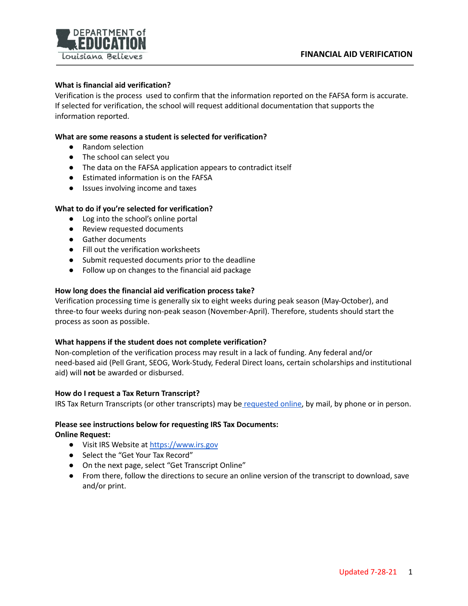

# **What is financial aid verification?**

Verification is the process used to confirm that the information reported on the FAFSA form is accurate. If selected for verification, the school will request additional documentation that supports the information reported.

# **What are some reasons a student is selected for verification?**

- Random selection
- The school can select you
- The data on the FAFSA application appears to contradict itself
- Estimated information is on the FAFSA
- Issues involving income and taxes

# **What to do if you're selected for verification?**

- Log into the school's online portal
- Review requested documents
- Gather documents
- Fill out the verification worksheets
- Submit requested documents prior to the deadline
- Follow up on changes to the financial aid package

# **How long does the financial aid verification process take?**

Verification processing time is generally six to eight weeks during peak season (May-October), and three-to four weeks during non-peak season (November-April). Therefore, students should start the process as soon as possible.

#### **What happens if the student does not complete verification?**

Non-completion of the verification process may result in a lack of funding. Any federal and/or need-based aid (Pell Grant, SEOG, Work-Study, Federal Direct loans, certain scholarships and institutional aid) will **not** be awarded or disbursed.

#### **How do I request a Tax Return Transcript?**

IRS Tax Return Transcripts (or other transcripts) may be [requested](https://www.irs.gov/individuals/irs-offers-help-to-students-families-to-get-tax-information-for-student-financial-aid-applications) online, by mail, by phone or in person.

#### **Please see instructions below for requesting IRS Tax Documents:**

#### **Online Request:**

- Visit IRS Website at <https://www.irs.gov>
- Select the "Get Your Tax Record"
- On the next page, select "Get Transcript Online"
- From there, follow the directions to secure an online version of the transcript to download, save and/or print.